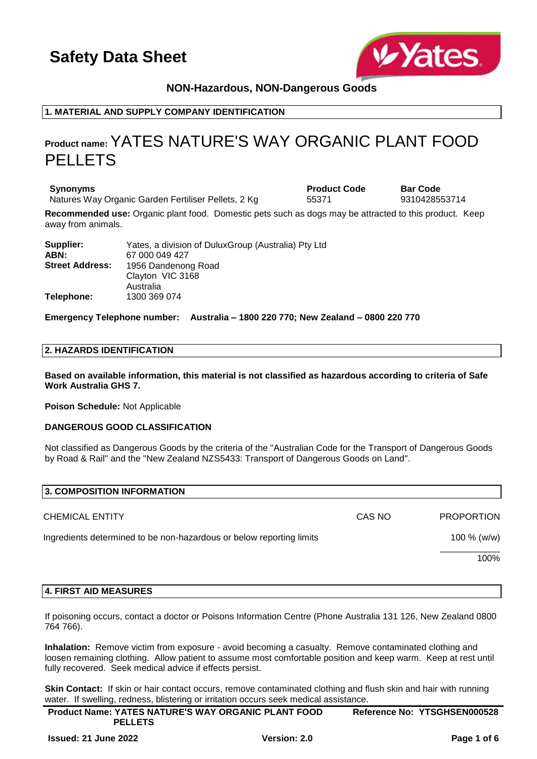

# **NON-Hazardous, NON-Dangerous Goods**

# **1. MATERIAL AND SUPPLY COMPANY IDENTIFICATION**

# **Product name:**YATES NATURE'S WAY ORGANIC PLANT FOOD PELLETS

**Synonyms Product Code Bar Code** Natures Way Organic Garden Fertiliser Pellets, 2 Kg  $15371$  9310428553714

**Recommended use:** Organic plant food. Domestic pets such as dogs may be attracted to this product. Keep away from animals.

| Supplier:              | Yates, a division of DuluxGroup (Australia) Pty Ltd |
|------------------------|-----------------------------------------------------|
| ABN:                   | 67 000 049 427                                      |
| <b>Street Address:</b> | 1956 Dandenong Road                                 |
|                        | Clayton VIC 3168                                    |
|                        | Australia                                           |
| Telephone:             | 1300 369 074                                        |

**Emergency Telephone number: Australia – 1800 220 770; New Zealand – 0800 220 770**

## **2. HAZARDS IDENTIFICATION**

**Based on available information, this material is not classified as hazardous according to criteria of Safe Work Australia GHS 7.**

**Poison Schedule:** Not Applicable

### **DANGEROUS GOOD CLASSIFICATION**

Not classified as Dangerous Goods by the criteria of the "Australian Code for the Transport of Dangerous Goods by Road & Rail" and the "New Zealand NZS5433: Transport of Dangerous Goods on Land".

| 3. COMPOSITION INFORMATION                                           |        |                   |
|----------------------------------------------------------------------|--------|-------------------|
| <b>CHEMICAL ENTITY</b>                                               | CAS NO | <b>PROPORTION</b> |
| Ingredients determined to be non-hazardous or below reporting limits |        | 100 % (w/w)       |
|                                                                      |        | 100%              |

### **4. FIRST AID MEASURES**

If poisoning occurs, contact a doctor or Poisons Information Centre (Phone Australia 131 126, New Zealand 0800 764 766).

**Inhalation:** Remove victim from exposure - avoid becoming a casualty. Remove contaminated clothing and loosen remaining clothing. Allow patient to assume most comfortable position and keep warm. Keep at rest until fully recovered. Seek medical advice if effects persist.

**Skin Contact:** If skin or hair contact occurs, remove contaminated clothing and flush skin and hair with running water. If swelling, redness, blistering or irritation occurs seek medical assistance.

| <b>Product Name: YATES NATURE'S WAY ORGANIC PLANT FOOD</b> | Reference No: YTSGHSEN000528 |
|------------------------------------------------------------|------------------------------|
| <b>PELLETS</b>                                             |                              |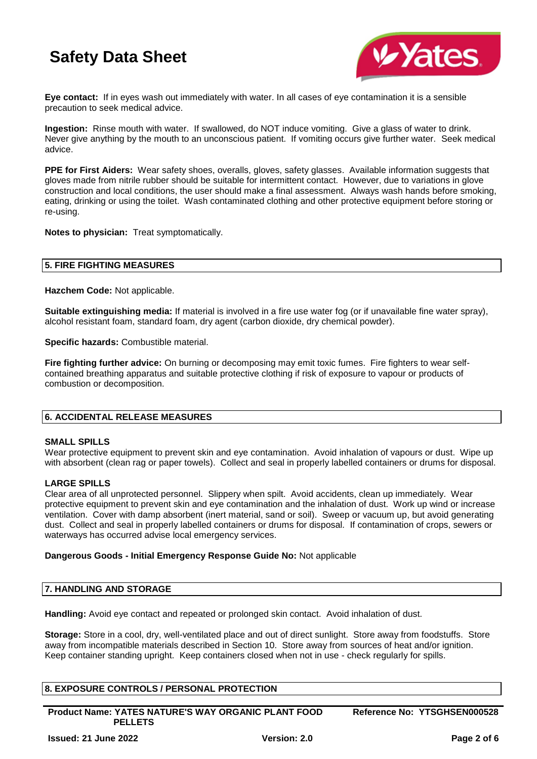

**Eye contact:** If in eyes wash out immediately with water. In all cases of eye contamination it is a sensible precaution to seek medical advice.

**Ingestion:** Rinse mouth with water. If swallowed, do NOT induce vomiting. Give a glass of water to drink. Never give anything by the mouth to an unconscious patient. If vomiting occurs give further water. Seek medical advice.

**PPE for First Aiders:** Wear safety shoes, overalls, gloves, safety glasses. Available information suggests that gloves made from nitrile rubber should be suitable for intermittent contact. However, due to variations in glove construction and local conditions, the user should make a final assessment. Always wash hands before smoking, eating, drinking or using the toilet. Wash contaminated clothing and other protective equipment before storing or re-using.

**Notes to physician:** Treat symptomatically.

## **5. FIRE FIGHTING MEASURES**

**Hazchem Code:** Not applicable.

**Suitable extinguishing media:** If material is involved in a fire use water fog (or if unavailable fine water spray), alcohol resistant foam, standard foam, dry agent (carbon dioxide, dry chemical powder).

**Specific hazards:** Combustible material.

**Fire fighting further advice:** On burning or decomposing may emit toxic fumes. Fire fighters to wear selfcontained breathing apparatus and suitable protective clothing if risk of exposure to vapour or products of combustion or decomposition.

## **6. ACCIDENTAL RELEASE MEASURES**

### **SMALL SPILLS**

Wear protective equipment to prevent skin and eye contamination. Avoid inhalation of vapours or dust. Wipe up with absorbent (clean rag or paper towels). Collect and seal in properly labelled containers or drums for disposal.

### **LARGE SPILLS**

Clear area of all unprotected personnel. Slippery when spilt. Avoid accidents, clean up immediately. Wear protective equipment to prevent skin and eye contamination and the inhalation of dust. Work up wind or increase ventilation. Cover with damp absorbent (inert material, sand or soil). Sweep or vacuum up, but avoid generating dust. Collect and seal in properly labelled containers or drums for disposal. If contamination of crops, sewers or waterways has occurred advise local emergency services.

### **Dangerous Goods - Initial Emergency Response Guide No:** Not applicable

### **7. HANDLING AND STORAGE**

**Handling:** Avoid eye contact and repeated or prolonged skin contact. Avoid inhalation of dust.

**Storage:** Store in a cool, dry, well-ventilated place and out of direct sunlight. Store away from foodstuffs. Store away from incompatible materials described in Section 10. Store away from sources of heat and/or ignition. Keep container standing upright. Keep containers closed when not in use - check regularly for spills.

## **8. EXPOSURE CONTROLS / PERSONAL PROTECTION**

**Product Name: YATES NATURE'S WAY ORGANIC PLANT FOOD PELLETS**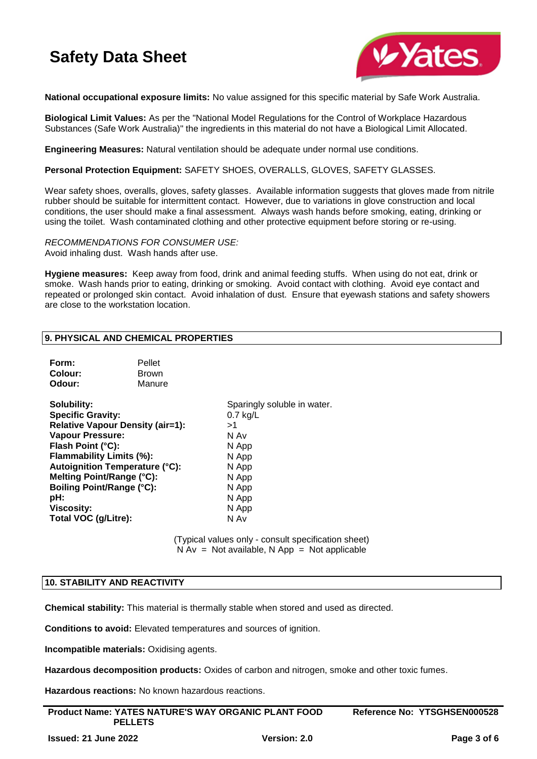

**National occupational exposure limits:** No value assigned for this specific material by Safe Work Australia.

**Biological Limit Values:** As per the "National Model Regulations for the Control of Workplace Hazardous Substances (Safe Work Australia)" the ingredients in this material do not have a Biological Limit Allocated.

**Engineering Measures:** Natural ventilation should be adequate under normal use conditions.

**Personal Protection Equipment:** SAFETY SHOES, OVERALLS, GLOVES, SAFETY GLASSES.

Wear safety shoes, overalls, gloves, safety glasses. Available information suggests that gloves made from nitrile rubber should be suitable for intermittent contact. However, due to variations in glove construction and local conditions, the user should make a final assessment. Always wash hands before smoking, eating, drinking or using the toilet. Wash contaminated clothing and other protective equipment before storing or re-using.

*RECOMMENDATIONS FOR CONSUMER USE:* Avoid inhaling dust. Wash hands after use.

**Hygiene measures:** Keep away from food, drink and animal feeding stuffs. When using do not eat, drink or smoke. Wash hands prior to eating, drinking or smoking. Avoid contact with clothing. Avoid eye contact and repeated or prolonged skin contact. Avoid inhalation of dust. Ensure that eyewash stations and safety showers are close to the workstation location.

### **9. PHYSICAL AND CHEMICAL PROPERTIES**

| Form:                                   | Pellet       |                             |
|-----------------------------------------|--------------|-----------------------------|
| Colour:                                 | <b>Brown</b> |                             |
| Odour:                                  | Manure       |                             |
| Solubility:                             |              | Sparingly soluble in water. |
| <b>Specific Gravity:</b>                |              | $0.7$ kg/L                  |
| <b>Relative Vapour Density (air=1):</b> |              | >1                          |
| <b>Vapour Pressure:</b>                 |              | N Av                        |
| Flash Point (°C):                       |              | N App                       |
| <b>Flammability Limits (%):</b>         |              | N App                       |
| Autoignition Temperature (°C):          |              | N App                       |
| Melting Point/Range (°C):               |              | N App                       |
| Boiling Point/Range (°C):               |              | N App                       |
| pH:                                     |              | N App                       |
| <b>Viscosity:</b>                       |              | N App                       |
| Total VOC (g/Litre):                    |              | N Av                        |
|                                         |              |                             |

(Typical values only - consult specification sheet)  $N Av = Not available, N App = Not applicable$ 

## **10. STABILITY AND REACTIVITY**

**Chemical stability:** This material is thermally stable when stored and used as directed.

**Conditions to avoid:** Elevated temperatures and sources of ignition.

**Incompatible materials:** Oxidising agents.

**Hazardous decomposition products:** Oxides of carbon and nitrogen, smoke and other toxic fumes.

**Hazardous reactions:** No known hazardous reactions.

| <b>Product Name: YATES NATURE'S WAY ORGANIC PLANT FOOD</b> | Reference No: YTSGHSEN000528 |
|------------------------------------------------------------|------------------------------|
| <b>PELLETS</b>                                             |                              |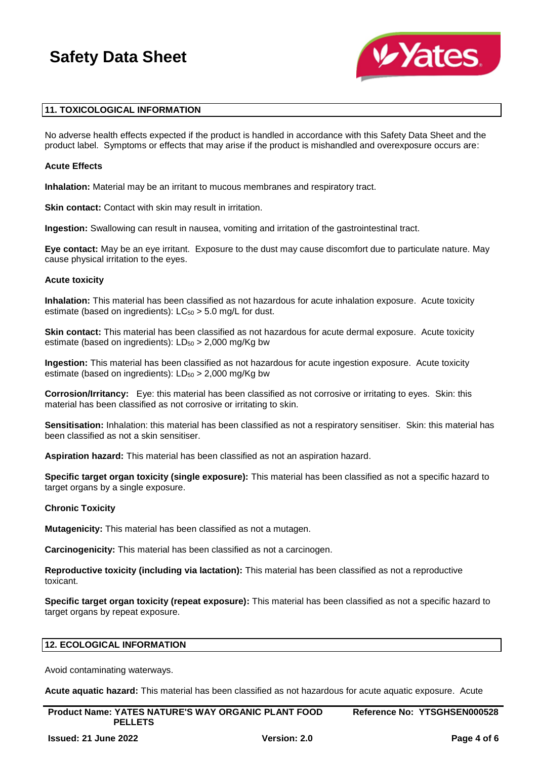

## **11. TOXICOLOGICAL INFORMATION**

No adverse health effects expected if the product is handled in accordance with this Safety Data Sheet and the product label. Symptoms or effects that may arise if the product is mishandled and overexposure occurs are:

### **Acute Effects**

**Inhalation:** Material may be an irritant to mucous membranes and respiratory tract.

**Skin contact:** Contact with skin may result in irritation.

**Ingestion:** Swallowing can result in nausea, vomiting and irritation of the gastrointestinal tract.

**Eye contact:** May be an eye irritant. Exposure to the dust may cause discomfort due to particulate nature. May cause physical irritation to the eyes.

### **Acute toxicity**

**Inhalation:** This material has been classified as not hazardous for acute inhalation exposure. Acute toxicity estimate (based on ingredients):  $LC_{50} > 5.0$  mg/L for dust.

**Skin contact:** This material has been classified as not hazardous for acute dermal exposure. Acute toxicity estimate (based on ingredients):  $LD_{50} > 2,000$  mg/Kg bw

**Ingestion:** This material has been classified as not hazardous for acute ingestion exposure. Acute toxicity estimate (based on ingredients):  $LD_{50} > 2,000$  mg/Kg bw

**Corrosion/Irritancy:** Eye: this material has been classified as not corrosive or irritating to eyes. Skin: this material has been classified as not corrosive or irritating to skin.

**Sensitisation:** Inhalation: this material has been classified as not a respiratory sensitiser. Skin: this material has been classified as not a skin sensitiser.

**Aspiration hazard:** This material has been classified as not an aspiration hazard.

**Specific target organ toxicity (single exposure):** This material has been classified as not a specific hazard to target organs by a single exposure.

### **Chronic Toxicity**

**Mutagenicity:** This material has been classified as not a mutagen.

**Carcinogenicity:** This material has been classified as not a carcinogen.

**Reproductive toxicity (including via lactation):** This material has been classified as not a reproductive toxicant.

**Specific target organ toxicity (repeat exposure):** This material has been classified as not a specific hazard to target organs by repeat exposure.

## **12. ECOLOGICAL INFORMATION**

Avoid contaminating waterways.

**Acute aquatic hazard:** This material has been classified as not hazardous for acute aquatic exposure. Acute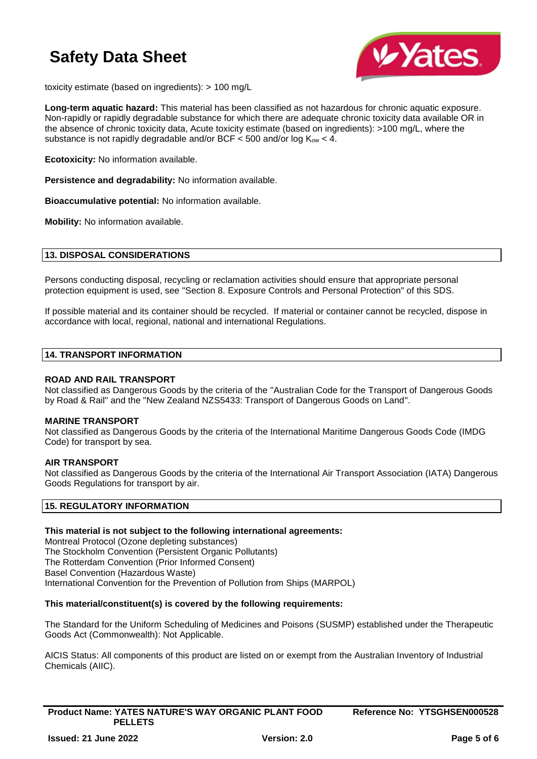

toxicity estimate (based on ingredients): > 100 mg/L

**Long-term aquatic hazard:** This material has been classified as not hazardous for chronic aquatic exposure. Non-rapidly or rapidly degradable substance for which there are adequate chronic toxicity data available OR in the absence of chronic toxicity data, Acute toxicity estimate (based on ingredients): >100 mg/L, where the substance is not rapidly degradable and/or BCF  $<$  500 and/or log  $K_{ow}$   $<$  4.

**Ecotoxicity:** No information available.

**Persistence and degradability:** No information available.

**Bioaccumulative potential:** No information available.

**Mobility:** No information available.

## **13. DISPOSAL CONSIDERATIONS**

Persons conducting disposal, recycling or reclamation activities should ensure that appropriate personal protection equipment is used, see "Section 8. Exposure Controls and Personal Protection" of this SDS.

If possible material and its container should be recycled. If material or container cannot be recycled, dispose in accordance with local, regional, national and international Regulations.

## **14. TRANSPORT INFORMATION**

### **ROAD AND RAIL TRANSPORT**

Not classified as Dangerous Goods by the criteria of the "Australian Code for the Transport of Dangerous Goods by Road & Rail" and the "New Zealand NZS5433: Transport of Dangerous Goods on Land".

### **MARINE TRANSPORT**

Not classified as Dangerous Goods by the criteria of the International Maritime Dangerous Goods Code (IMDG Code) for transport by sea.

### **AIR TRANSPORT**

Not classified as Dangerous Goods by the criteria of the International Air Transport Association (IATA) Dangerous Goods Regulations for transport by air.

## **15. REGULATORY INFORMATION**

## **This material is not subject to the following international agreements:**

Montreal Protocol (Ozone depleting substances) The Stockholm Convention (Persistent Organic Pollutants) The Rotterdam Convention (Prior Informed Consent) Basel Convention (Hazardous Waste) International Convention for the Prevention of Pollution from Ships (MARPOL)

## **This material/constituent(s) is covered by the following requirements:**

The Standard for the Uniform Scheduling of Medicines and Poisons (SUSMP) established under the Therapeutic Goods Act (Commonwealth): Not Applicable.

AICIS Status: All components of this product are listed on or exempt from the Australian Inventory of Industrial Chemicals (AIIC).